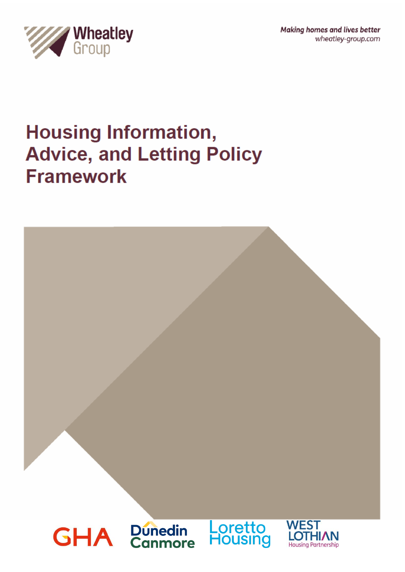Making homes and lives better wheatley-group.com



# **Housing Information, Advice, and Letting Policy Framework**

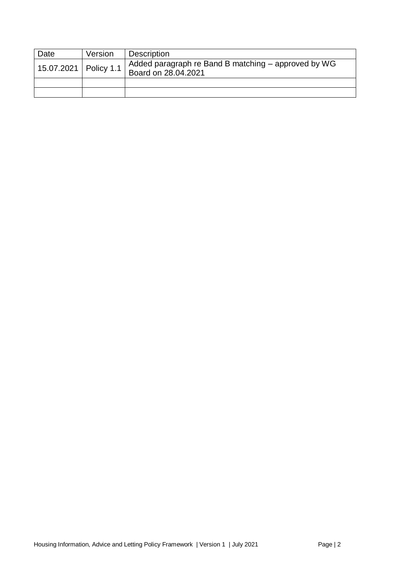| Date                    | Version | <b>Description</b>                                                         |
|-------------------------|---------|----------------------------------------------------------------------------|
| 15.07.2021   Policy 1.1 |         | Added paragraph re Band B matching - approved by WG<br>Board on 28.04.2021 |
|                         |         |                                                                            |
|                         |         |                                                                            |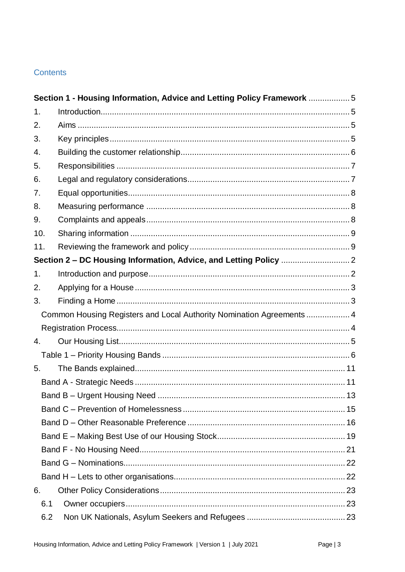# Contents

|     | Section 1 - Housing Information, Advice and Letting Policy Framework 5 |    |
|-----|------------------------------------------------------------------------|----|
| 1.  |                                                                        |    |
| 2.  |                                                                        |    |
| 3.  |                                                                        |    |
| 4.  |                                                                        |    |
| 5.  |                                                                        |    |
| 6.  |                                                                        |    |
| 7.  |                                                                        |    |
| 8.  |                                                                        |    |
| 9.  |                                                                        |    |
| 10. |                                                                        |    |
| 11. |                                                                        |    |
|     |                                                                        |    |
| 1.  |                                                                        |    |
| 2.  |                                                                        |    |
| 3.  |                                                                        |    |
|     | Common Housing Registers and Local Authority Nomination Agreements  4  |    |
|     |                                                                        |    |
| 4.  |                                                                        |    |
|     |                                                                        |    |
| 5.  |                                                                        |    |
|     |                                                                        |    |
|     |                                                                        | 13 |
|     |                                                                        |    |
|     |                                                                        |    |
|     |                                                                        |    |
|     |                                                                        |    |
|     |                                                                        |    |
|     |                                                                        |    |
| 6.  |                                                                        |    |
| 6.1 |                                                                        |    |
| 6.2 |                                                                        |    |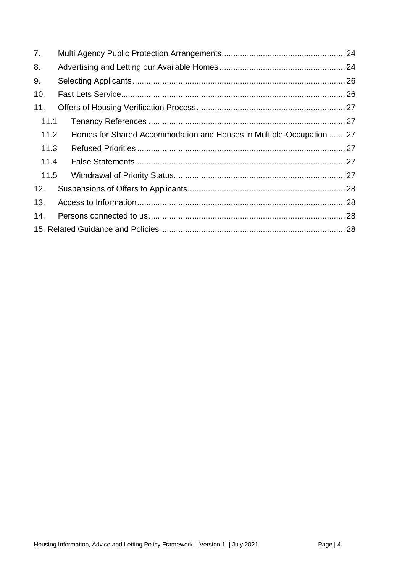| 7.   |                                                                      |  |  |  |  |
|------|----------------------------------------------------------------------|--|--|--|--|
| 8.   |                                                                      |  |  |  |  |
| 9.   |                                                                      |  |  |  |  |
| 10.  |                                                                      |  |  |  |  |
| 11.  |                                                                      |  |  |  |  |
| 11.1 |                                                                      |  |  |  |  |
| 11.2 | Homes for Shared Accommodation and Houses in Multiple-Occupation  27 |  |  |  |  |
| 11.3 |                                                                      |  |  |  |  |
| 11.4 |                                                                      |  |  |  |  |
| 11.5 |                                                                      |  |  |  |  |
| 12.  |                                                                      |  |  |  |  |
| 13.  |                                                                      |  |  |  |  |
| 14.  |                                                                      |  |  |  |  |
|      |                                                                      |  |  |  |  |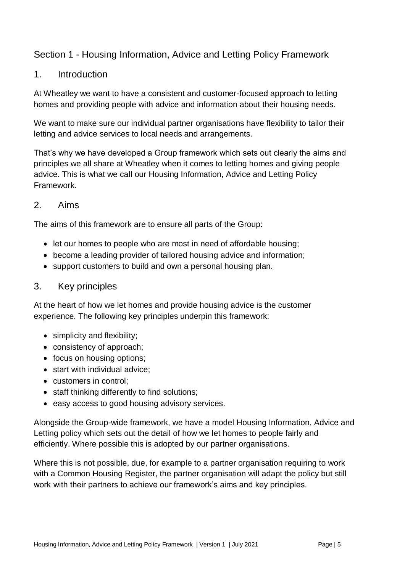# <span id="page-4-0"></span>Section 1 - Housing Information, Advice and Letting Policy Framework

## <span id="page-4-1"></span>1. Introduction

At Wheatley we want to have a consistent and customer-focused approach to letting homes and providing people with advice and information about their housing needs.

We want to make sure our individual partner organisations have flexibility to tailor their letting and advice services to local needs and arrangements.

That's why we have developed a Group framework which sets out clearly the aims and principles we all share at Wheatley when it comes to letting homes and giving people advice. This is what we call our Housing Information, Advice and Letting Policy Framework.

## <span id="page-4-2"></span>2. Aims

The aims of this framework are to ensure all parts of the Group:

- let our homes to people who are most in need of affordable housing;
- become a leading provider of tailored housing advice and information;
- support customers to build and own a personal housing plan.

## <span id="page-4-3"></span>3. Key principles

At the heart of how we let homes and provide housing advice is the customer experience. The following key principles underpin this framework:

- simplicity and flexibility;
- consistency of approach;
- focus on housing options;
- start with individual advice:
- customers in control;
- staff thinking differently to find solutions;
- easy access to good housing advisory services.

Alongside the Group-wide framework, we have a model Housing Information, Advice and Letting policy which sets out the detail of how we let homes to people fairly and efficiently. Where possible this is adopted by our partner organisations.

Where this is not possible, due, for example to a partner organisation requiring to work with a Common Housing Register, the partner organisation will adapt the policy but still work with their partners to achieve our framework's aims and key principles.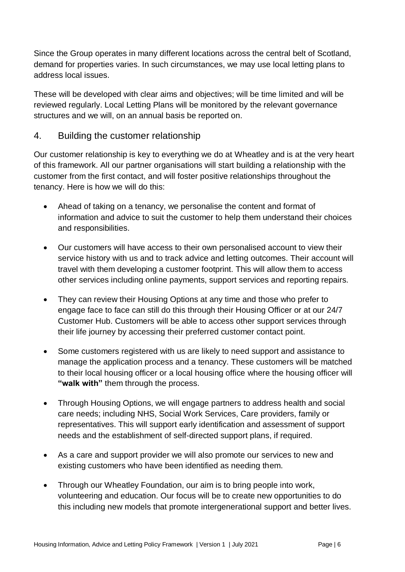Since the Group operates in many different locations across the central belt of Scotland, demand for properties varies. In such circumstances, we may use local letting plans to address local issues.

These will be developed with clear aims and objectives; will be time limited and will be reviewed regularly. Local Letting Plans will be monitored by the relevant governance structures and we will, on an annual basis be reported on.

## <span id="page-5-0"></span>4. Building the customer relationship

Our customer relationship is key to everything we do at Wheatley and is at the very heart of this framework. All our partner organisations will start building a relationship with the customer from the first contact, and will foster positive relationships throughout the tenancy. Here is how we will do this:

- Ahead of taking on a tenancy, we personalise the content and format of information and advice to suit the customer to help them understand their choices and responsibilities.
- Our customers will have access to their own personalised account to view their service history with us and to track advice and letting outcomes. Their account will travel with them developing a customer footprint. This will allow them to access other services including online payments, support services and reporting repairs.
- They can review their Housing Options at any time and those who prefer to engage face to face can still do this through their Housing Officer or at our 24/7 Customer Hub. Customers will be able to access other support services through their life journey by accessing their preferred customer contact point.
- Some customers registered with us are likely to need support and assistance to manage the application process and a tenancy. These customers will be matched to their local housing officer or a local housing office where the housing officer will **"walk with"** them through the process.
- Through Housing Options, we will engage partners to address health and social care needs; including NHS, Social Work Services, Care providers, family or representatives. This will support early identification and assessment of support needs and the establishment of self-directed support plans, if required.
- As a care and support provider we will also promote our services to new and existing customers who have been identified as needing them.
- Through our Wheatley Foundation, our aim is to bring people into work, volunteering and education. Our focus will be to create new opportunities to do this including new models that promote intergenerational support and better lives.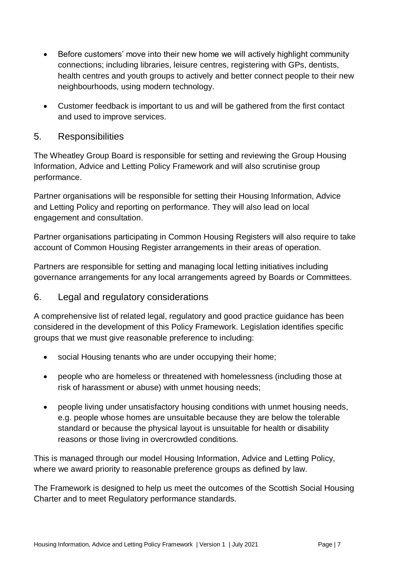- Before customers' move into their new home we will actively highlight community connections; including libraries, leisure centres, registering with GPs, dentists, health centres and youth groups to actively and better connect people to their new neighbourhoods, using modern technology.
- Customer feedback is important to us and will be gathered from the first contact and used to improve services.

## <span id="page-6-0"></span>5. Responsibilities

The Wheatley Group Board is responsible for setting and reviewing the Group Housing Information, Advice and Letting Policy Framework and will also scrutinise group performance.

Partner organisations will be responsible for setting their Housing Information, Advice and Letting Policy and reporting on performance. They will also lead on local engagement and consultation.

Partner organisations participating in Common Housing Registers will also require to take account of Common Housing Register arrangements in their areas of operation.

Partners are responsible for setting and managing local letting initiatives including governance arrangements for any local arrangements agreed by Boards or Committees.

## <span id="page-6-1"></span>6. Legal and regulatory considerations

A comprehensive list of related legal, regulatory and good practice guidance has been considered in the development of this Policy Framework. Legislation identifies specific groups that we must give reasonable preference to including:

- social Housing tenants who are under occupying their home;
- people who are homeless or threatened with homelessness (including those at risk of harassment or abuse) with unmet housing needs;
- people living under unsatisfactory housing conditions with unmet housing needs, e.g. people whose homes are unsuitable because they are below the tolerable standard or because the physical layout is unsuitable for health or disability reasons or those living in overcrowded conditions.

This is managed through our model Housing Information, Advice and Letting Policy, where we award priority to reasonable preference groups as defined by law.

The Framework is designed to help us meet the outcomes of the Scottish Social Housing Charter and to meet Regulatory performance standards.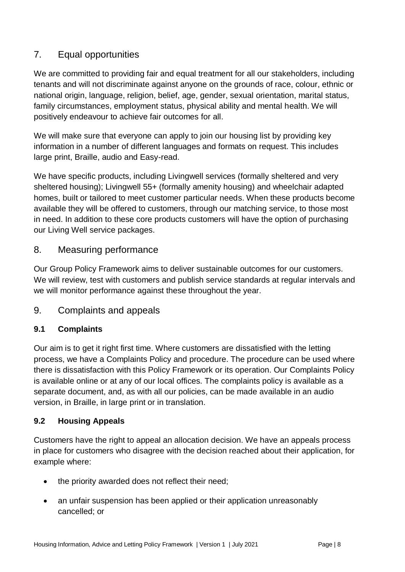# <span id="page-7-0"></span>7. Equal opportunities

We are committed to providing fair and equal treatment for all our stakeholders, including tenants and will not discriminate against anyone on the grounds of race, colour, ethnic or national origin, language, religion, belief, age, gender, sexual orientation, marital status, family circumstances, employment status, physical ability and mental health. We will positively endeavour to achieve fair outcomes for all.

We will make sure that everyone can apply to join our housing list by providing key information in a number of different languages and formats on request. This includes large print, Braille, audio and Easy-read.

We have specific products, including Livingwell services (formally sheltered and very sheltered housing); Livingwell 55+ (formally amenity housing) and wheelchair adapted homes, built or tailored to meet customer particular needs. When these products become available they will be offered to customers, through our matching service, to those most in need. In addition to these core products customers will have the option of purchasing our Living Well service packages.

## <span id="page-7-1"></span>8. Measuring performance

Our Group Policy Framework aims to deliver sustainable outcomes for our customers. We will review, test with customers and publish service standards at regular intervals and we will monitor performance against these throughout the year.

## <span id="page-7-2"></span>9. Complaints and appeals

## **9.1 Complaints**

Our aim is to get it right first time. Where customers are dissatisfied with the letting process, we have a Complaints Policy and procedure. The procedure can be used where there is dissatisfaction with this Policy Framework or its operation. Our Complaints Policy is available online or at any of our local offices. The complaints policy is available as a separate document, and, as with all our policies, can be made available in an audio version, in Braille, in large print or in translation.

#### **9.2 Housing Appeals**

Customers have the right to appeal an allocation decision. We have an appeals process in place for customers who disagree with the decision reached about their application, for example where:

- the priority awarded does not reflect their need;
- an unfair suspension has been applied or their application unreasonably cancelled; or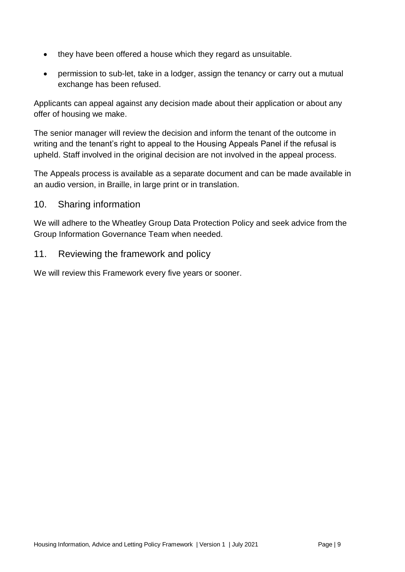- they have been offered a house which they regard as unsuitable.
- permission to sub-let, take in a lodger, assign the tenancy or carry out a mutual exchange has been refused.

Applicants can appeal against any decision made about their application or about any offer of housing we make.

The senior manager will review the decision and inform the tenant of the outcome in writing and the tenant's right to appeal to the Housing Appeals Panel if the refusal is upheld. Staff involved in the original decision are not involved in the appeal process.

The Appeals process is available as a separate document and can be made available in an audio version, in Braille, in large print or in translation.

## <span id="page-8-0"></span>10. Sharing information

We will adhere to the Wheatley Group Data Protection Policy and seek advice from the Group Information Governance Team when needed.

## <span id="page-8-1"></span>11. Reviewing the framework and policy

We will review this Framework every five years or sooner.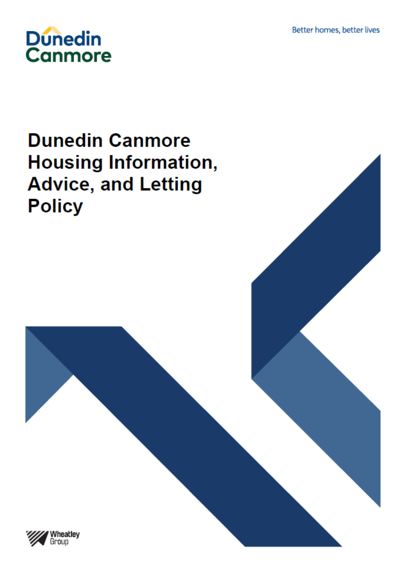

# **Dunedin Canmore Housing Information, Advice, and Letting Policy**

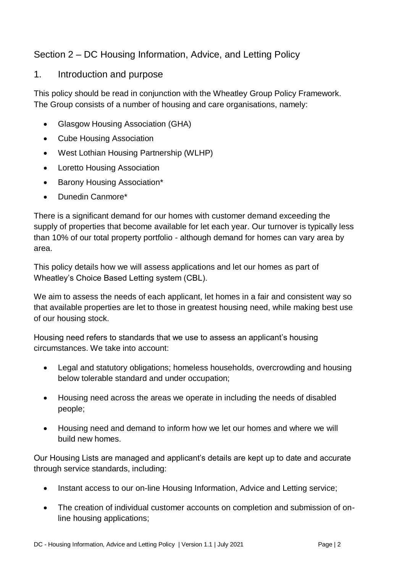# <span id="page-10-0"></span>Section 2 – DC Housing Information, Advice, and Letting Policy

## <span id="page-10-1"></span>1. Introduction and purpose

This policy should be read in conjunction with the Wheatley Group Policy Framework. The Group consists of a number of housing and care organisations, namely:

- Glasgow Housing Association (GHA)
- Cube Housing Association
- West Lothian Housing Partnership (WLHP)
- Loretto Housing Association
- Barony Housing Association\*
- Dunedin Canmore\*

There is a significant demand for our homes with customer demand exceeding the supply of properties that become available for let each year. Our turnover is typically less than 10% of our total property portfolio - although demand for homes can vary area by area.

This policy details how we will assess applications and let our homes as part of Wheatley's Choice Based Letting system (CBL).

We aim to assess the needs of each applicant, let homes in a fair and consistent way so that available properties are let to those in greatest housing need, while making best use of our housing stock.

Housing need refers to standards that we use to assess an applicant's housing circumstances. We take into account:

- Legal and statutory obligations; homeless households, overcrowding and housing below tolerable standard and under occupation;
- Housing need across the areas we operate in including the needs of disabled people;
- Housing need and demand to inform how we let our homes and where we will build new homes.

Our Housing Lists are managed and applicant's details are kept up to date and accurate through service standards, including:

- Instant access to our on-line Housing Information, Advice and Letting service;
- The creation of individual customer accounts on completion and submission of online housing applications;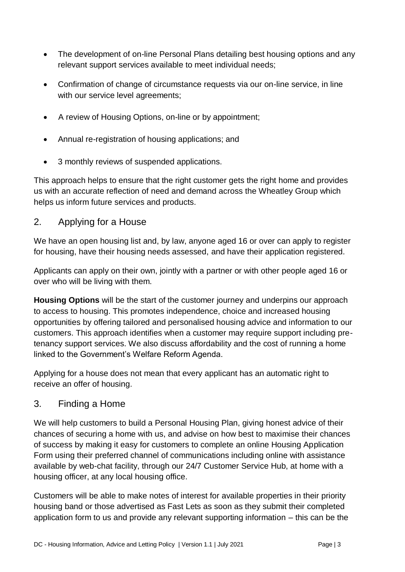- The development of on-line Personal Plans detailing best housing options and any relevant support services available to meet individual needs;
- Confirmation of change of circumstance requests via our on-line service, in line with our service level agreements;
- A review of Housing Options, on-line or by appointment;
- Annual re-registration of housing applications; and
- 3 monthly reviews of suspended applications.

This approach helps to ensure that the right customer gets the right home and provides us with an accurate reflection of need and demand across the Wheatley Group which helps us inform future services and products.

## <span id="page-11-0"></span>2. Applying for a House

We have an open housing list and, by law, anyone aged 16 or over can apply to register for housing, have their housing needs assessed, and have their application registered.

Applicants can apply on their own, jointly with a partner or with other people aged 16 or over who will be living with them.

**Housing Options** will be the start of the customer journey and underpins our approach to access to housing. This promotes independence, choice and increased housing opportunities by offering tailored and personalised housing advice and information to our customers. This approach identifies when a customer may require support including pretenancy support services. We also discuss affordability and the cost of running a home linked to the Government's Welfare Reform Agenda.

Applying for a house does not mean that every applicant has an automatic right to receive an offer of housing.

#### <span id="page-11-1"></span>3. Finding a Home

We will help customers to build a Personal Housing Plan, giving honest advice of their chances of securing a home with us, and advise on how best to maximise their chances of success by making it easy for customers to complete an online Housing Application Form using their preferred channel of communications including online with assistance available by web-chat facility, through our 24/7 Customer Service Hub, at home with a housing officer, at any local housing office.

Customers will be able to make notes of interest for available properties in their priority housing band or those advertised as Fast Lets as soon as they submit their completed application form to us and provide any relevant supporting information – this can be the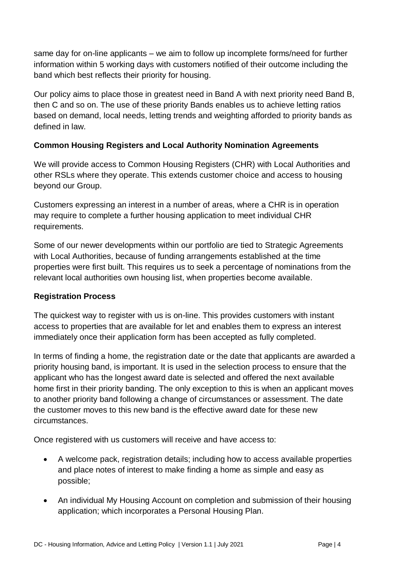same day for on-line applicants – we aim to follow up incomplete forms/need for further information within 5 working days with customers notified of their outcome including the band which best reflects their priority for housing.

Our policy aims to place those in greatest need in Band A with next priority need Band B, then C and so on. The use of these priority Bands enables us to achieve letting ratios based on demand, local needs, letting trends and weighting afforded to priority bands as defined in law.

## <span id="page-12-0"></span>**Common Housing Registers and Local Authority Nomination Agreements**

We will provide access to Common Housing Registers (CHR) with Local Authorities and other RSLs where they operate. This extends customer choice and access to housing beyond our Group.

Customers expressing an interest in a number of areas, where a CHR is in operation may require to complete a further housing application to meet individual CHR requirements.

Some of our newer developments within our portfolio are tied to Strategic Agreements with Local Authorities, because of funding arrangements established at the time properties were first built. This requires us to seek a percentage of nominations from the relevant local authorities own housing list, when properties become available.

#### <span id="page-12-1"></span>**Registration Process**

The quickest way to register with us is on-line. This provides customers with instant access to properties that are available for let and enables them to express an interest immediately once their application form has been accepted as fully completed.

In terms of finding a home, the registration date or the date that applicants are awarded a priority housing band, is important. It is used in the selection process to ensure that the applicant who has the longest award date is selected and offered the next available home first in their priority banding. The only exception to this is when an applicant moves to another priority band following a change of circumstances or assessment. The date the customer moves to this new band is the effective award date for these new circumstances.

Once registered with us customers will receive and have access to:

- A welcome pack, registration details; including how to access available properties and place notes of interest to make finding a home as simple and easy as possible;
- An individual My Housing Account on completion and submission of their housing application; which incorporates a Personal Housing Plan.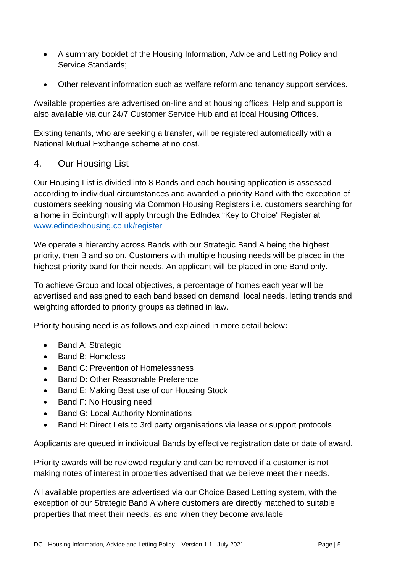- A summary booklet of the Housing Information, Advice and Letting Policy and Service Standards;
- Other relevant information such as welfare reform and tenancy support services.

Available properties are advertised on-line and at housing offices. Help and support is also available via our 24/7 Customer Service Hub and at local Housing Offices.

Existing tenants, who are seeking a transfer, will be registered automatically with a National Mutual Exchange scheme at no cost.

## <span id="page-13-0"></span>4. Our Housing List

Our Housing List is divided into 8 Bands and each housing application is assessed according to individual circumstances and awarded a priority Band with the exception of customers seeking housing via Common Housing Registers i.e. customers searching for a home in Edinburgh will apply through the EdIndex "Key to Choice" Register at [www.edindexhousing.co.uk/register](http://www.edindexhousing.co.uk/register)

We operate a hierarchy across Bands with our Strategic Band A being the highest priority, then B and so on. Customers with multiple housing needs will be placed in the highest priority band for their needs. An applicant will be placed in one Band only.

To achieve Group and local objectives, a percentage of homes each year will be advertised and assigned to each band based on demand, local needs, letting trends and weighting afforded to priority groups as defined in law.

Priority housing need is as follows and explained in more detail below**:** 

- Band A: Strategic
- Band B: Homeless
- Band C: Prevention of Homelessness
- Band D: Other Reasonable Preference
- Band E: Making Best use of our Housing Stock
- Band F: No Housing need
- Band G: Local Authority Nominations
- Band H: Direct Lets to 3rd party organisations via lease or support protocols

Applicants are queued in individual Bands by effective registration date or date of award.

Priority awards will be reviewed regularly and can be removed if a customer is not making notes of interest in properties advertised that we believe meet their needs.

All available properties are advertised via our Choice Based Letting system, with the exception of our Strategic Band A where customers are directly matched to suitable properties that meet their needs, as and when they become available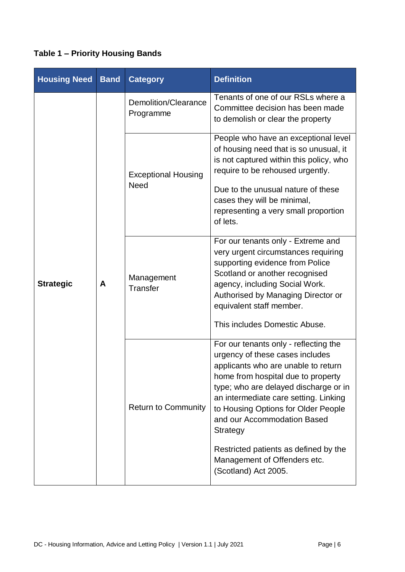# <span id="page-14-0"></span>**Table 1 – Priority Housing Bands**

| <b>Housing Need</b> | <b>Band</b> | <b>Category</b>                           | <b>Definition</b>                                                                                                                                                                                                                                                                                                                                                  |  |
|---------------------|-------------|-------------------------------------------|--------------------------------------------------------------------------------------------------------------------------------------------------------------------------------------------------------------------------------------------------------------------------------------------------------------------------------------------------------------------|--|
|                     | A           | Demolition/Clearance<br>Programme         | Tenants of one of our RSLs where a<br>Committee decision has been made<br>to demolish or clear the property                                                                                                                                                                                                                                                        |  |
| <b>Strategic</b>    |             | <b>Exceptional Housing</b><br><b>Need</b> | People who have an exceptional level<br>of housing need that is so unusual, it<br>is not captured within this policy, who<br>require to be rehoused urgently.                                                                                                                                                                                                      |  |
|                     |             |                                           | Due to the unusual nature of these<br>cases they will be minimal,<br>representing a very small proportion<br>of lets.                                                                                                                                                                                                                                              |  |
|                     |             | Management<br><b>Transfer</b>             | For our tenants only - Extreme and<br>very urgent circumstances requiring<br>supporting evidence from Police<br>Scotland or another recognised<br>agency, including Social Work.<br>Authorised by Managing Director or<br>equivalent staff member.<br>This includes Domestic Abuse.                                                                                |  |
|                     |             | <b>Return to Community</b>                | For our tenants only - reflecting the<br>urgency of these cases includes<br>applicants who are unable to return<br>home from hospital due to property<br>type; who are delayed discharge or in<br>an intermediate care setting. Linking<br>to Housing Options for Older People<br>and our Accommodation Based<br>Strategy<br>Restricted patients as defined by the |  |
|                     |             |                                           | Management of Offenders etc.<br>(Scotland) Act 2005.                                                                                                                                                                                                                                                                                                               |  |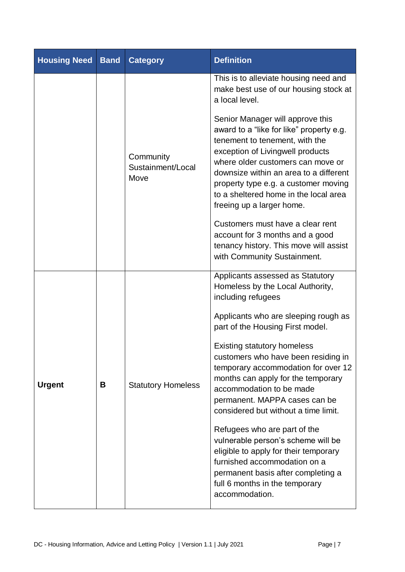| <b>Housing Need</b> | <b>Band</b> | <b>Category</b>                                                                                                                                                                                                                                                                                                                                                                                                                                                                                                                           | <b>Definition</b>                                                                                                                                                                                                                                   |
|---------------------|-------------|-------------------------------------------------------------------------------------------------------------------------------------------------------------------------------------------------------------------------------------------------------------------------------------------------------------------------------------------------------------------------------------------------------------------------------------------------------------------------------------------------------------------------------------------|-----------------------------------------------------------------------------------------------------------------------------------------------------------------------------------------------------------------------------------------------------|
|                     |             |                                                                                                                                                                                                                                                                                                                                                                                                                                                                                                                                           | This is to alleviate housing need and<br>make best use of our housing stock at<br>a local level.                                                                                                                                                    |
|                     |             | Senior Manager will approve this<br>award to a "like for like" property e.g.<br>tenement to tenement, with the<br>exception of Livingwell products<br>Community<br>where older customers can move or<br>Sustainment/Local<br>downsize within an area to a different<br>Move<br>property type e.g. a customer moving<br>to a sheltered home in the local area<br>freeing up a larger home.<br>Customers must have a clear rent<br>account for 3 months and a good<br>tenancy history. This move will assist<br>with Community Sustainment. |                                                                                                                                                                                                                                                     |
|                     |             |                                                                                                                                                                                                                                                                                                                                                                                                                                                                                                                                           | Applicants assessed as Statutory<br>Homeless by the Local Authority,<br>including refugees<br>Applicants who are sleeping rough as<br>part of the Housing First model.<br><b>Existing statutory homeless</b><br>customers who have been residing in |
| <b>Urgent</b>       | В           | <b>Statutory Homeless</b>                                                                                                                                                                                                                                                                                                                                                                                                                                                                                                                 | temporary accommodation for over 12<br>months can apply for the temporary<br>accommodation to be made<br>permanent. MAPPA cases can be<br>considered but without a time limit.                                                                      |
|                     |             |                                                                                                                                                                                                                                                                                                                                                                                                                                                                                                                                           | Refugees who are part of the<br>vulnerable person's scheme will be<br>eligible to apply for their temporary<br>furnished accommodation on a<br>permanent basis after completing a<br>full 6 months in the temporary<br>accommodation.               |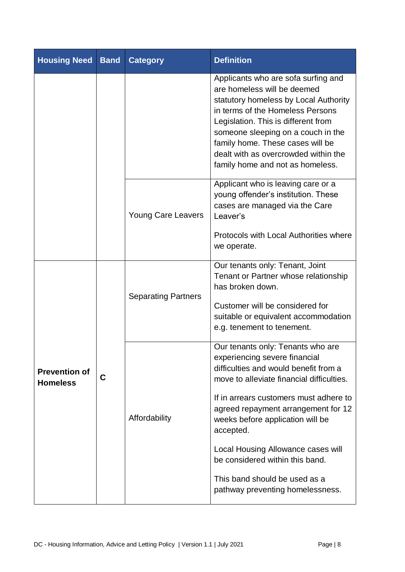| <b>Housing Need</b>                     | <b>Band</b>        | <b>Category</b>            | <b>Definition</b>                                                                                                                                                                                                                                                                                                                                                                                                                        |  |
|-----------------------------------------|--------------------|----------------------------|------------------------------------------------------------------------------------------------------------------------------------------------------------------------------------------------------------------------------------------------------------------------------------------------------------------------------------------------------------------------------------------------------------------------------------------|--|
|                                         |                    |                            | Applicants who are sofa surfing and<br>are homeless will be deemed<br>statutory homeless by Local Authority<br>in terms of the Homeless Persons<br>Legislation. This is different from<br>someone sleeping on a couch in the<br>family home. These cases will be<br>dealt with as overcrowded within the<br>family home and not as homeless.                                                                                             |  |
|                                         |                    | <b>Young Care Leavers</b>  | Applicant who is leaving care or a<br>young offender's institution. These<br>cases are managed via the Care<br>Leaver's<br>Protocols with Local Authorities where<br>we operate.                                                                                                                                                                                                                                                         |  |
|                                         | C<br>Affordability | <b>Separating Partners</b> | Our tenants only: Tenant, Joint<br>Tenant or Partner whose relationship<br>has broken down.<br>Customer will be considered for<br>suitable or equivalent accommodation<br>e.g. tenement to tenement.                                                                                                                                                                                                                                     |  |
| <b>Prevention of</b><br><b>Homeless</b> |                    |                            | Our tenants only: Tenants who are<br>experiencing severe financial<br>difficulties and would benefit from a<br>move to alleviate financial difficulties.<br>If in arrears customers must adhere to<br>agreed repayment arrangement for 12<br>weeks before application will be<br>accepted.<br>Local Housing Allowance cases will<br>be considered within this band.<br>This band should be used as a<br>pathway preventing homelessness. |  |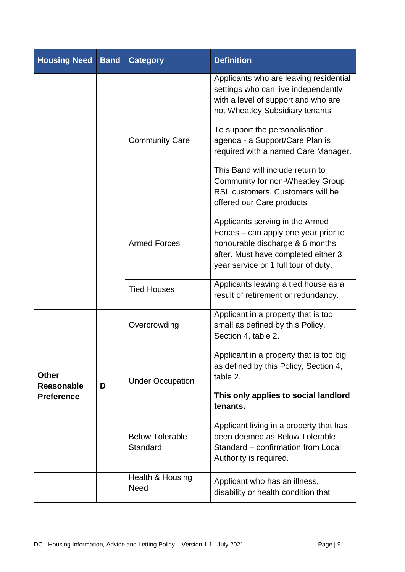| <b>Housing Need</b>                                    | <b>Band</b> | <b>Category</b>                    | <b>Definition</b>                                                                                                                                                                         |  |
|--------------------------------------------------------|-------------|------------------------------------|-------------------------------------------------------------------------------------------------------------------------------------------------------------------------------------------|--|
|                                                        |             |                                    | Applicants who are leaving residential<br>settings who can live independently<br>with a level of support and who are<br>not Wheatley Subsidiary tenants                                   |  |
|                                                        |             | <b>Community Care</b>              | To support the personalisation<br>agenda - a Support/Care Plan is<br>required with a named Care Manager.                                                                                  |  |
|                                                        |             |                                    | This Band will include return to<br>Community for non-Wheatley Group<br>RSL customers. Customers will be<br>offered our Care products                                                     |  |
|                                                        |             | <b>Armed Forces</b>                | Applicants serving in the Armed<br>Forces – can apply one year prior to<br>honourable discharge & 6 months<br>after. Must have completed either 3<br>year service or 1 full tour of duty. |  |
|                                                        |             | <b>Tied Houses</b>                 | Applicants leaving a tied house as a<br>result of retirement or redundancy.                                                                                                               |  |
|                                                        | D           | Overcrowding                       | Applicant in a property that is too<br>small as defined by this Policy,<br>Section 4, table 2.                                                                                            |  |
| <b>Other</b><br><b>Reasonable</b><br><b>Preference</b> |             | <b>Under Occupation</b>            | Applicant in a property that is too big<br>as defined by this Policy, Section 4,<br>table 2.<br>This only applies to social landlord                                                      |  |
|                                                        |             |                                    | tenants.                                                                                                                                                                                  |  |
|                                                        |             | <b>Below Tolerable</b><br>Standard | Applicant living in a property that has<br>been deemed as Below Tolerable<br>Standard - confirmation from Local<br>Authority is required.                                                 |  |
|                                                        |             | Health & Housing<br><b>Need</b>    | Applicant who has an illness,<br>disability or health condition that                                                                                                                      |  |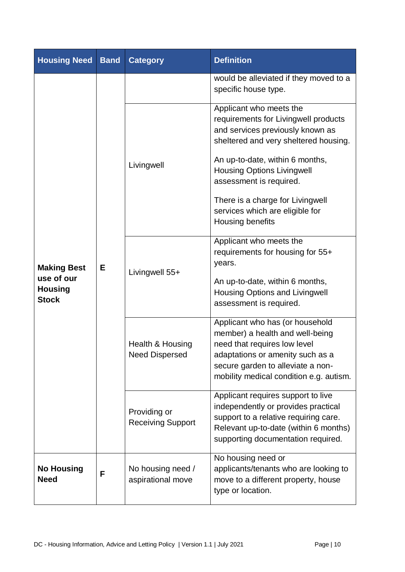| <b>Housing Need</b>                                                | <b>Band</b> | <b>Category</b>                           | <b>Definition</b>                                                                                                                                                                                                                                                                                                                          |  |
|--------------------------------------------------------------------|-------------|-------------------------------------------|--------------------------------------------------------------------------------------------------------------------------------------------------------------------------------------------------------------------------------------------------------------------------------------------------------------------------------------------|--|
| <b>Making Best</b><br>use of our<br><b>Housing</b><br><b>Stock</b> | Е           |                                           | would be alleviated if they moved to a<br>specific house type.                                                                                                                                                                                                                                                                             |  |
|                                                                    |             | Livingwell                                | Applicant who meets the<br>requirements for Livingwell products<br>and services previously known as<br>sheltered and very sheltered housing.<br>An up-to-date, within 6 months,<br><b>Housing Options Livingwell</b><br>assessment is required.<br>There is a charge for Livingwell<br>services which are eligible for<br>Housing benefits |  |
|                                                                    |             | Livingwell 55+                            | Applicant who meets the<br>requirements for housing for 55+<br>years.<br>An up-to-date, within 6 months,<br><b>Housing Options and Livingwell</b><br>assessment is required.                                                                                                                                                               |  |
|                                                                    |             | Health & Housing<br><b>Need Dispersed</b> | Applicant who has (or household<br>member) a health and well-being<br>need that requires low level<br>adaptations or amenity such as a<br>secure garden to alleviate a non-<br>mobility medical condition e.g. autism.                                                                                                                     |  |
|                                                                    |             | Providing or<br><b>Receiving Support</b>  | Applicant requires support to live<br>independently or provides practical<br>support to a relative requiring care.<br>Relevant up-to-date (within 6 months)<br>supporting documentation required.                                                                                                                                          |  |
| <b>No Housing</b><br><b>Need</b>                                   | F           | No housing need /<br>aspirational move    | No housing need or<br>applicants/tenants who are looking to<br>move to a different property, house<br>type or location.                                                                                                                                                                                                                    |  |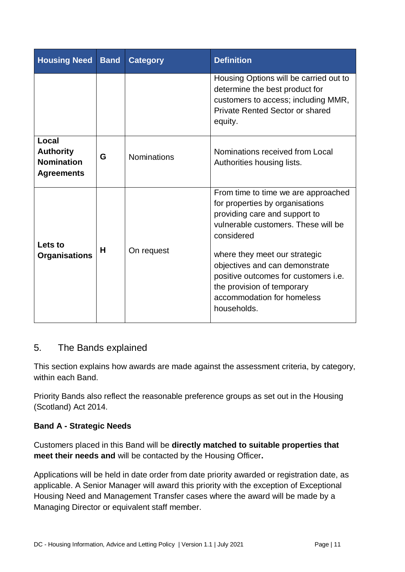| <b>Housing Need</b>                                                 | <b>Band</b> | <b>Category</b>    | <b>Definition</b>                                                                                                                                                                                                                                                                                                                                  |  |
|---------------------------------------------------------------------|-------------|--------------------|----------------------------------------------------------------------------------------------------------------------------------------------------------------------------------------------------------------------------------------------------------------------------------------------------------------------------------------------------|--|
|                                                                     |             |                    | Housing Options will be carried out to<br>determine the best product for<br>customers to access; including MMR,<br><b>Private Rented Sector or shared</b><br>equity.                                                                                                                                                                               |  |
| Local<br><b>Authority</b><br><b>Nomination</b><br><b>Agreements</b> | G           | <b>Nominations</b> | Nominations received from Local<br>Authorities housing lists.                                                                                                                                                                                                                                                                                      |  |
| Lets to<br><b>Organisations</b>                                     | н           | On request         | From time to time we are approached<br>for properties by organisations<br>providing care and support to<br>vulnerable customers. These will be<br>considered<br>where they meet our strategic<br>objectives and can demonstrate<br>positive outcomes for customers i.e.<br>the provision of temporary<br>accommodation for homeless<br>households. |  |

# <span id="page-19-0"></span>5. The Bands explained

This section explains how awards are made against the assessment criteria, by category, within each Band.

Priority Bands also reflect the reasonable preference groups as set out in the Housing (Scotland) Act 2014.

## <span id="page-19-1"></span>**Band A - Strategic Needs**

Customers placed in this Band will be **directly matched to suitable properties that meet their needs and** will be contacted by the Housing Officer**.** 

Applications will be held in date order from date priority awarded or registration date, as applicable. A Senior Manager will award this priority with the exception of Exceptional Housing Need and Management Transfer cases where the award will be made by a Managing Director or equivalent staff member.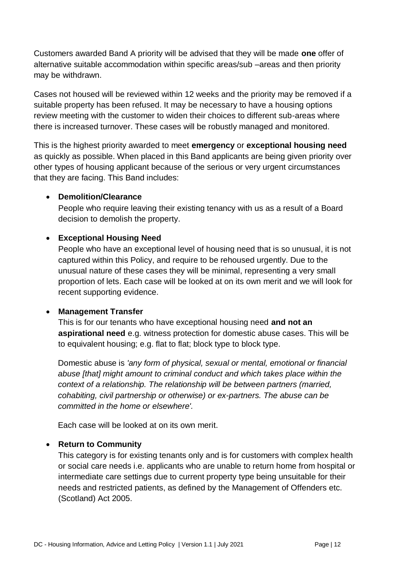Customers awarded Band A priority will be advised that they will be made **one** offer of alternative suitable accommodation within specific areas/sub –areas and then priority may be withdrawn.

Cases not housed will be reviewed within 12 weeks and the priority may be removed if a suitable property has been refused. It may be necessary to have a housing options review meeting with the customer to widen their choices to different sub-areas where there is increased turnover. These cases will be robustly managed and monitored.

This is the highest priority awarded to meet **emergency** or **exceptional housing need**  as quickly as possible. When placed in this Band applicants are being given priority over other types of housing applicant because of the serious or very urgent circumstances that they are facing. This Band includes:

#### **Demolition/Clearance**

People who require leaving their existing tenancy with us as a result of a Board decision to demolish the property.

#### **Exceptional Housing Need**

People who have an exceptional level of housing need that is so unusual, it is not captured within this Policy, and require to be rehoused urgently. Due to the unusual nature of these cases they will be minimal, representing a very small proportion of lets. Each case will be looked at on its own merit and we will look for recent supporting evidence.

#### **Management Transfer**

This is for our tenants who have exceptional housing need **and not an aspirational need** e.g. witness protection for domestic abuse cases. This will be to equivalent housing; e.g. flat to flat; block type to block type.

Domestic abuse is *'any form of physical, sexual or mental, emotional or financial abuse [that] might amount to criminal conduct and which takes place within the context of a relationship. The relationship will be between partners (married, cohabiting, civil partnership or otherwise) or ex-partners. The abuse can be committed in the home or elsewhere'.* 

Each case will be looked at on its own merit.

#### **Return to Community**

This category is for existing tenants only and is for customers with complex health or social care needs i.e. applicants who are unable to return home from hospital or intermediate care settings due to current property type being unsuitable for their needs and restricted patients, as defined by the Management of Offenders etc. (Scotland) Act 2005.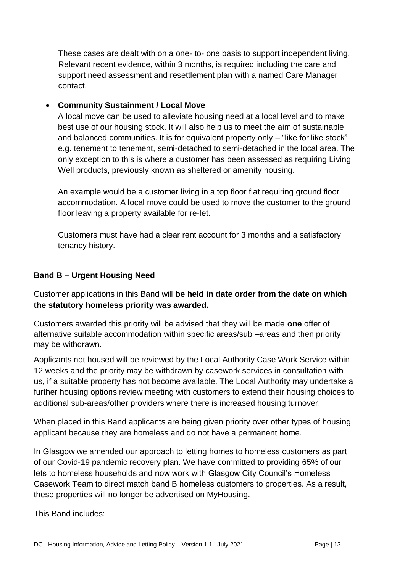These cases are dealt with on a one- to- one basis to support independent living. Relevant recent evidence, within 3 months, is required including the care and support need assessment and resettlement plan with a named Care Manager contact.

### **Community Sustainment / Local Move**

A local move can be used to alleviate housing need at a local level and to make best use of our housing stock. It will also help us to meet the aim of sustainable and balanced communities. It is for equivalent property only – "like for like stock" e.g. tenement to tenement, semi-detached to semi-detached in the local area. The only exception to this is where a customer has been assessed as requiring Living Well products, previously known as sheltered or amenity housing.

An example would be a customer living in a top floor flat requiring ground floor accommodation. A local move could be used to move the customer to the ground floor leaving a property available for re-let.

Customers must have had a clear rent account for 3 months and a satisfactory tenancy history.

## <span id="page-21-0"></span>**Band B – Urgent Housing Need**

Customer applications in this Band will **be held in date order from the date on which the statutory homeless priority was awarded.** 

Customers awarded this priority will be advised that they will be made **one** offer of alternative suitable accommodation within specific areas/sub –areas and then priority may be withdrawn.

Applicants not housed will be reviewed by the Local Authority Case Work Service within 12 weeks and the priority may be withdrawn by casework services in consultation with us, if a suitable property has not become available. The Local Authority may undertake a further housing options review meeting with customers to extend their housing choices to additional sub-areas/other providers where there is increased housing turnover.

When placed in this Band applicants are being given priority over other types of housing applicant because they are homeless and do not have a permanent home.

In Glasgow we amended our approach to letting homes to homeless customers as part of our Covid-19 pandemic recovery plan. We have committed to providing 65% of our lets to homeless households and now work with Glasgow City Council's Homeless Casework Team to direct match band B homeless customers to properties. As a result, these properties will no longer be advertised on MyHousing.

This Band includes: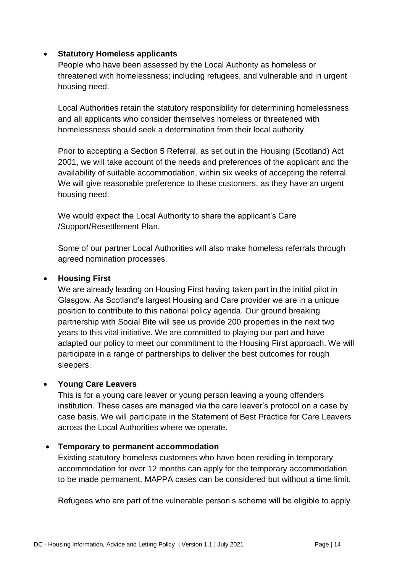#### **Statutory Homeless applicants**

People who have been assessed by the Local Authority as homeless or threatened with homelessness; including refugees, and vulnerable and in urgent housing need.

Local Authorities retain the statutory responsibility for determining homelessness and all applicants who consider themselves homeless or threatened with homelessness should seek a determination from their local authority.

Prior to accepting a Section 5 Referral, as set out in the Housing (Scotland) Act 2001, we will take account of the needs and preferences of the applicant and the availability of suitable accommodation, within six weeks of accepting the referral. We will give reasonable preference to these customers, as they have an urgent housing need.

We would expect the Local Authority to share the applicant's Care /Support/Resettlement Plan.

Some of our partner Local Authorities will also make homeless referrals through agreed nomination processes.

#### **Housing First**

We are already leading on Housing First having taken part in the initial pilot in Glasgow. As Scotland's largest Housing and Care provider we are in a unique position to contribute to this national policy agenda. Our ground breaking partnership with Social Bite will see us provide 200 properties in the next two years to this vital initiative. We are committed to playing our part and have adapted our policy to meet our commitment to the Housing First approach. We will participate in a range of partnerships to deliver the best outcomes for rough sleepers.

#### **Young Care Leavers**

This is for a young care leaver or young person leaving a young offenders institution. These cases are managed via the care leaver's protocol on a case by case basis. We will participate in the Statement of Best Practice for Care Leavers across the Local Authorities where we operate.

#### **Temporary to permanent accommodation**

Existing statutory homeless customers who have been residing in temporary accommodation for over 12 months can apply for the temporary accommodation to be made permanent. MAPPA cases can be considered but without a time limit.

Refugees who are part of the vulnerable person's scheme will be eligible to apply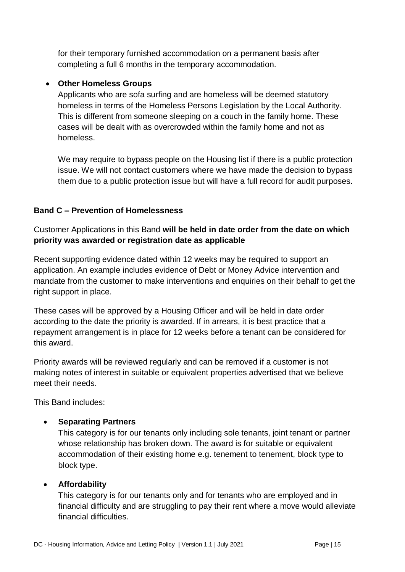for their temporary furnished accommodation on a permanent basis after completing a full 6 months in the temporary accommodation.

#### **Other Homeless Groups**

Applicants who are sofa surfing and are homeless will be deemed statutory homeless in terms of the Homeless Persons Legislation by the Local Authority. This is different from someone sleeping on a couch in the family home. These cases will be dealt with as overcrowded within the family home and not as homeless.

We may require to bypass people on the Housing list if there is a public protection issue. We will not contact customers where we have made the decision to bypass them due to a public protection issue but will have a full record for audit purposes.

#### <span id="page-23-0"></span>**Band C – Prevention of Homelessness**

Customer Applications in this Band **will be held in date order from the date on which priority was awarded or registration date as applicable** 

Recent supporting evidence dated within 12 weeks may be required to support an application. An example includes evidence of Debt or Money Advice intervention and mandate from the customer to make interventions and enquiries on their behalf to get the right support in place.

These cases will be approved by a Housing Officer and will be held in date order according to the date the priority is awarded. If in arrears, it is best practice that a repayment arrangement is in place for 12 weeks before a tenant can be considered for this award.

Priority awards will be reviewed regularly and can be removed if a customer is not making notes of interest in suitable or equivalent properties advertised that we believe meet their needs.

This Band includes:

#### **Separating Partners**

This category is for our tenants only including sole tenants, joint tenant or partner whose relationship has broken down. The award is for suitable or equivalent accommodation of their existing home e.g. tenement to tenement, block type to block type.

#### **Affordability**

This category is for our tenants only and for tenants who are employed and in financial difficulty and are struggling to pay their rent where a move would alleviate financial difficulties.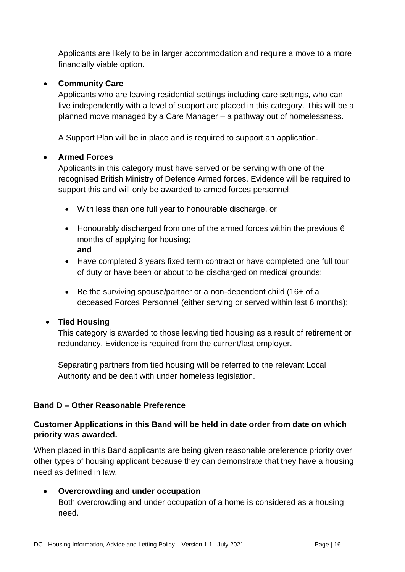Applicants are likely to be in larger accommodation and require a move to a more financially viable option.

#### **Community Care**

Applicants who are leaving residential settings including care settings, who can live independently with a level of support are placed in this category. This will be a planned move managed by a Care Manager – a pathway out of homelessness.

A Support Plan will be in place and is required to support an application.

#### **Armed Forces**

Applicants in this category must have served or be serving with one of the recognised British Ministry of Defence Armed forces. Evidence will be required to support this and will only be awarded to armed forces personnel:

- With less than one full year to honourable discharge, or
- Honourably discharged from one of the armed forces within the previous 6 months of applying for housing; **and**
- Have completed 3 years fixed term contract or have completed one full tour of duty or have been or about to be discharged on medical grounds;
- Be the surviving spouse/partner or a non-dependent child (16+ of a deceased Forces Personnel (either serving or served within last 6 months);

#### **Tied Housing**

This category is awarded to those leaving tied housing as a result of retirement or redundancy. Evidence is required from the current/last employer.

Separating partners from tied housing will be referred to the relevant Local Authority and be dealt with under homeless legislation.

#### <span id="page-24-0"></span>**Band D – Other Reasonable Preference**

#### **Customer Applications in this Band will be held in date order from date on which priority was awarded.**

When placed in this Band applicants are being given reasonable preference priority over other types of housing applicant because they can demonstrate that they have a housing need as defined in law.

#### **Overcrowding and under occupation**

Both overcrowding and under occupation of a home is considered as a housing need.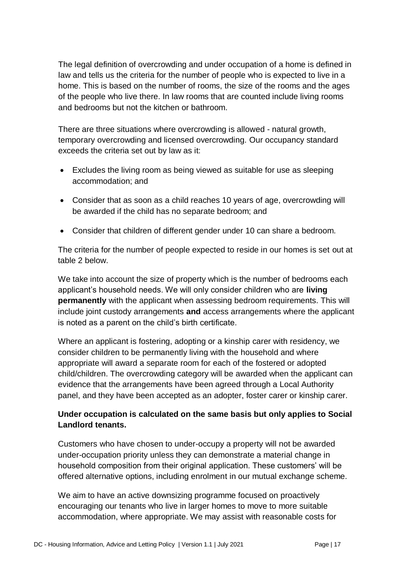The legal definition of overcrowding and under occupation of a home is defined in law and tells us the criteria for the number of people who is expected to live in a home. This is based on the number of rooms, the size of the rooms and the ages of the people who live there. In law rooms that are counted include living rooms and bedrooms but not the kitchen or bathroom.

There are three situations where overcrowding is allowed - natural growth, temporary overcrowding and licensed overcrowding. Our occupancy standard exceeds the criteria set out by law as it:

- Excludes the living room as being viewed as suitable for use as sleeping accommodation; and
- Consider that as soon as a child reaches 10 years of age, overcrowding will be awarded if the child has no separate bedroom; and
- Consider that children of different gender under 10 can share a bedroom.

The criteria for the number of people expected to reside in our homes is set out at table 2 below.

We take into account the size of property which is the number of bedrooms each applicant's household needs. We will only consider children who are **living permanently** with the applicant when assessing bedroom requirements. This will include joint custody arrangements **and** access arrangements where the applicant is noted as a parent on the child's birth certificate.

Where an applicant is fostering, adopting or a kinship carer with residency, we consider children to be permanently living with the household and where appropriate will award a separate room for each of the fostered or adopted child/children. The overcrowding category will be awarded when the applicant can evidence that the arrangements have been agreed through a Local Authority panel, and they have been accepted as an adopter, foster carer or kinship carer.

## **Under occupation is calculated on the same basis but only applies to Social Landlord tenants.**

Customers who have chosen to under-occupy a property will not be awarded under-occupation priority unless they can demonstrate a material change in household composition from their original application. These customers' will be offered alternative options, including enrolment in our mutual exchange scheme.

We aim to have an active downsizing programme focused on proactively encouraging our tenants who live in larger homes to move to more suitable accommodation, where appropriate. We may assist with reasonable costs for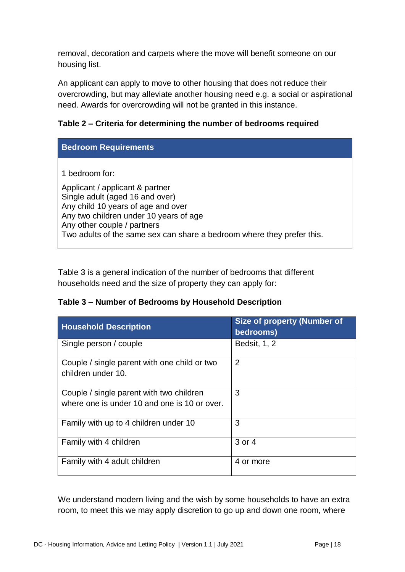removal, decoration and carpets where the move will benefit someone on our housing list.

An applicant can apply to move to other housing that does not reduce their overcrowding, but may alleviate another housing need e.g. a social or aspirational need. Awards for overcrowding will not be granted in this instance.

#### **Table 2 – Criteria for determining the number of bedrooms required**

| <b>Bedroom Requirements</b>                                                                                                                                                                                                                                                   |
|-------------------------------------------------------------------------------------------------------------------------------------------------------------------------------------------------------------------------------------------------------------------------------|
| 1 bedroom for:<br>Applicant / applicant & partner<br>Single adult (aged 16 and over)<br>Any child 10 years of age and over<br>Any two children under 10 years of age<br>Any other couple / partners<br>Two adults of the same sex can share a bedroom where they prefer this. |

Table 3 is a general indication of the number of bedrooms that different households need and the size of property they can apply for:

#### **Table 3 – Number of Bedrooms by Household Description**

| <b>Household Description</b>                                                             | <b>Size of property (Number of</b><br>bedrooms) |
|------------------------------------------------------------------------------------------|-------------------------------------------------|
| Single person / couple                                                                   | <b>Bedsit, 1, 2</b>                             |
| Couple / single parent with one child or two<br>children under 10.                       | 2                                               |
| Couple / single parent with two children<br>where one is under 10 and one is 10 or over. | 3                                               |
| Family with up to 4 children under 10                                                    | 3                                               |
| Family with 4 children                                                                   | 3 or 4                                          |
| Family with 4 adult children                                                             | 4 or more                                       |

We understand modern living and the wish by some households to have an extra room, to meet this we may apply discretion to go up and down one room, where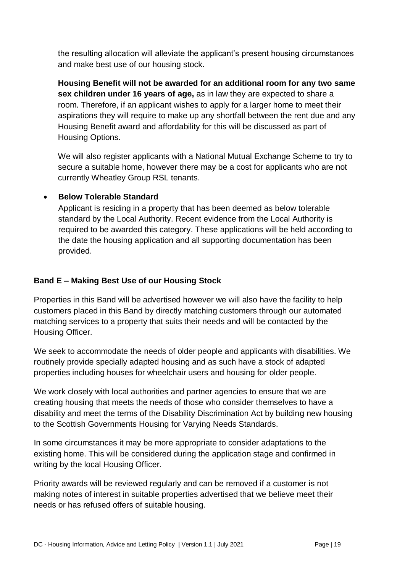the resulting allocation will alleviate the applicant's present housing circumstances and make best use of our housing stock.

**Housing Benefit will not be awarded for an additional room for any two same sex children under 16 years of age,** as in law they are expected to share a room. Therefore, if an applicant wishes to apply for a larger home to meet their aspirations they will require to make up any shortfall between the rent due and any Housing Benefit award and affordability for this will be discussed as part of Housing Options.

We will also register applicants with a National Mutual Exchange Scheme to try to secure a suitable home, however there may be a cost for applicants who are not currently Wheatley Group RSL tenants.

#### **•** Below Tolerable Standard

Applicant is residing in a property that has been deemed as below tolerable standard by the Local Authority. Recent evidence from the Local Authority is required to be awarded this category. These applications will be held according to the date the housing application and all supporting documentation has been provided.

#### <span id="page-27-0"></span>**Band E – Making Best Use of our Housing Stock**

Properties in this Band will be advertised however we will also have the facility to help customers placed in this Band by directly matching customers through our automated matching services to a property that suits their needs and will be contacted by the Housing Officer.

We seek to accommodate the needs of older people and applicants with disabilities. We routinely provide specially adapted housing and as such have a stock of adapted properties including houses for wheelchair users and housing for older people.

We work closely with local authorities and partner agencies to ensure that we are creating housing that meets the needs of those who consider themselves to have a disability and meet the terms of the Disability Discrimination Act by building new housing to the Scottish Governments Housing for Varying Needs Standards.

In some circumstances it may be more appropriate to consider adaptations to the existing home. This will be considered during the application stage and confirmed in writing by the local Housing Officer.

Priority awards will be reviewed regularly and can be removed if a customer is not making notes of interest in suitable properties advertised that we believe meet their needs or has refused offers of suitable housing.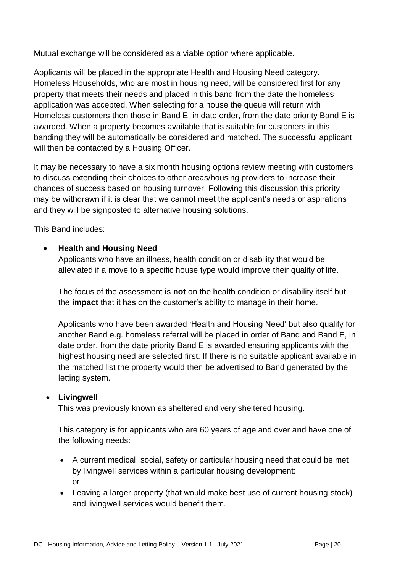Mutual exchange will be considered as a viable option where applicable.

Applicants will be placed in the appropriate Health and Housing Need category. Homeless Households, who are most in housing need, will be considered first for any property that meets their needs and placed in this band from the date the homeless application was accepted. When selecting for a house the queue will return with Homeless customers then those in Band E, in date order, from the date priority Band E is awarded. When a property becomes available that is suitable for customers in this banding they will be automatically be considered and matched. The successful applicant will then be contacted by a Housing Officer.

It may be necessary to have a six month housing options review meeting with customers to discuss extending their choices to other areas/housing providers to increase their chances of success based on housing turnover. Following this discussion this priority may be withdrawn if it is clear that we cannot meet the applicant's needs or aspirations and they will be signposted to alternative housing solutions.

This Band includes:

#### **Health and Housing Need**

Applicants who have an illness, health condition or disability that would be alleviated if a move to a specific house type would improve their quality of life.

The focus of the assessment is **not** on the health condition or disability itself but the **impact** that it has on the customer's ability to manage in their home.

Applicants who have been awarded 'Health and Housing Need' but also qualify for another Band e.g. homeless referral will be placed in order of Band and Band E, in date order, from the date priority Band E is awarded ensuring applicants with the highest housing need are selected first. If there is no suitable applicant available in the matched list the property would then be advertised to Band generated by the letting system.

#### **Livingwell**

This was previously known as sheltered and very sheltered housing.

This category is for applicants who are 60 years of age and over and have one of the following needs:

- A current medical, social, safety or particular housing need that could be met by livingwell services within a particular housing development: or
- Leaving a larger property (that would make best use of current housing stock) and livingwell services would benefit them.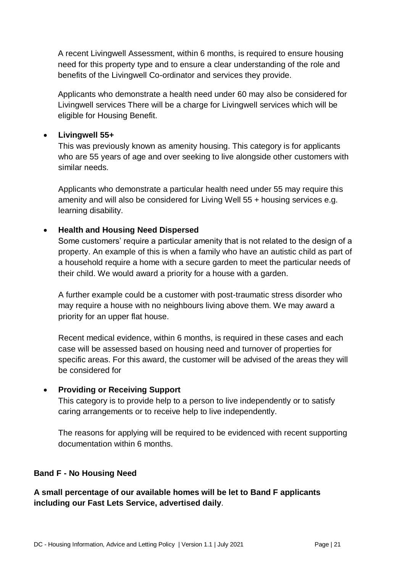A recent Livingwell Assessment, within 6 months, is required to ensure housing need for this property type and to ensure a clear understanding of the role and benefits of the Livingwell Co-ordinator and services they provide.

Applicants who demonstrate a health need under 60 may also be considered for Livingwell services There will be a charge for Livingwell services which will be eligible for Housing Benefit.

#### **Livingwell 55+**

This was previously known as amenity housing. This category is for applicants who are 55 years of age and over seeking to live alongside other customers with similar needs.

Applicants who demonstrate a particular health need under 55 may require this amenity and will also be considered for Living Well 55 + housing services e.g. learning disability.

#### **Health and Housing Need Dispersed**

Some customers' require a particular amenity that is not related to the design of a property. An example of this is when a family who have an autistic child as part of a household require a home with a secure garden to meet the particular needs of their child. We would award a priority for a house with a garden.

A further example could be a customer with post-traumatic stress disorder who may require a house with no neighbours living above them. We may award a priority for an upper flat house.

Recent medical evidence, within 6 months, is required in these cases and each case will be assessed based on housing need and turnover of properties for specific areas. For this award, the customer will be advised of the areas they will be considered for

#### **Providing or Receiving Support**

This category is to provide help to a person to live independently or to satisfy caring arrangements or to receive help to live independently.

The reasons for applying will be required to be evidenced with recent supporting documentation within 6 months.

#### <span id="page-29-0"></span>**Band F - No Housing Need**

**A small percentage of our available homes will be let to Band F applicants including our Fast Lets Service, advertised daily**.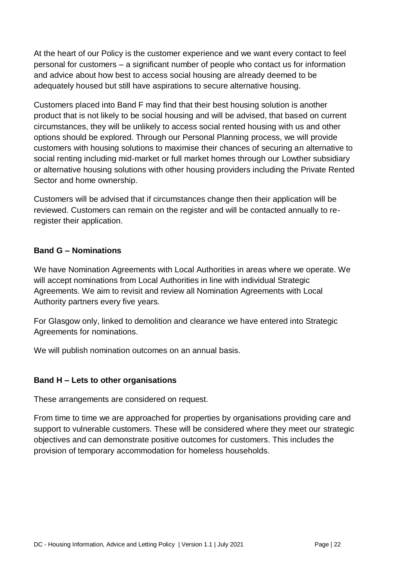At the heart of our Policy is the customer experience and we want every contact to feel personal for customers – a significant number of people who contact us for information and advice about how best to access social housing are already deemed to be adequately housed but still have aspirations to secure alternative housing.

Customers placed into Band F may find that their best housing solution is another product that is not likely to be social housing and will be advised, that based on current circumstances, they will be unlikely to access social rented housing with us and other options should be explored. Through our Personal Planning process, we will provide customers with housing solutions to maximise their chances of securing an alternative to social renting including mid-market or full market homes through our Lowther subsidiary or alternative housing solutions with other housing providers including the Private Rented Sector and home ownership.

Customers will be advised that if circumstances change then their application will be reviewed. Customers can remain on the register and will be contacted annually to reregister their application.

#### <span id="page-30-0"></span>**Band G – Nominations**

We have Nomination Agreements with Local Authorities in areas where we operate. We will accept nominations from Local Authorities in line with individual Strategic Agreements. We aim to revisit and review all Nomination Agreements with Local Authority partners every five years.

For Glasgow only, linked to demolition and clearance we have entered into Strategic Agreements for nominations.

We will publish nomination outcomes on an annual basis.

#### <span id="page-30-1"></span>**Band H – Lets to other organisations**

These arrangements are considered on request.

From time to time we are approached for properties by organisations providing care and support to vulnerable customers. These will be considered where they meet our strategic objectives and can demonstrate positive outcomes for customers. This includes the provision of temporary accommodation for homeless households.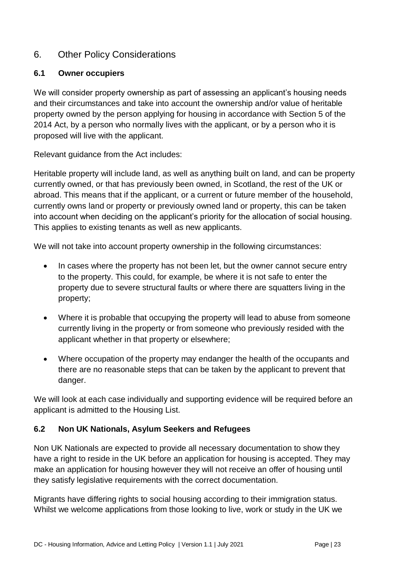## <span id="page-31-0"></span>6. Other Policy Considerations

#### <span id="page-31-1"></span>**6.1 Owner occupiers**

We will consider property ownership as part of assessing an applicant's housing needs and their circumstances and take into account the ownership and/or value of heritable property owned by the person applying for housing in accordance with Section 5 of the 2014 Act, by a person who normally lives with the applicant, or by a person who it is proposed will live with the applicant.

Relevant guidance from the Act includes:

Heritable property will include land, as well as anything built on land, and can be property currently owned, or that has previously been owned, in Scotland, the rest of the UK or abroad. This means that if the applicant, or a current or future member of the household, currently owns land or property or previously owned land or property, this can be taken into account when deciding on the applicant's priority for the allocation of social housing. This applies to existing tenants as well as new applicants.

We will not take into account property ownership in the following circumstances:

- In cases where the property has not been let, but the owner cannot secure entry to the property. This could, for example, be where it is not safe to enter the property due to severe structural faults or where there are squatters living in the property;
- Where it is probable that occupying the property will lead to abuse from someone currently living in the property or from someone who previously resided with the applicant whether in that property or elsewhere;
- Where occupation of the property may endanger the health of the occupants and there are no reasonable steps that can be taken by the applicant to prevent that danger.

We will look at each case individually and supporting evidence will be required before an applicant is admitted to the Housing List.

#### <span id="page-31-2"></span>**6.2 Non UK Nationals, Asylum Seekers and Refugees**

Non UK Nationals are expected to provide all necessary documentation to show they have a right to reside in the UK before an application for housing is accepted. They may make an application for housing however they will not receive an offer of housing until they satisfy legislative requirements with the correct documentation.

Migrants have differing rights to social housing according to their immigration status. Whilst we welcome applications from those looking to live, work or study in the UK we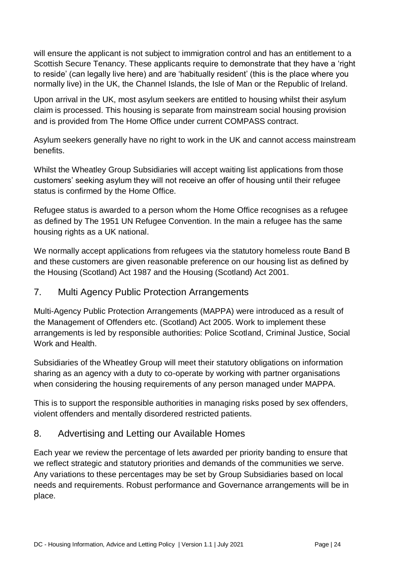will ensure the applicant is not subject to immigration control and has an entitlement to a Scottish Secure Tenancy. These applicants require to demonstrate that they have a 'right to reside' (can legally live here) and are 'habitually resident' (this is the place where you normally live) in the UK, the Channel Islands, the Isle of Man or the Republic of Ireland.

Upon arrival in the UK, most asylum seekers are entitled to housing whilst their asylum claim is processed. This housing is separate from mainstream social housing provision and is provided from The Home Office under current COMPASS contract.

Asylum seekers generally have no right to work in the UK and cannot access mainstream benefits.

Whilst the Wheatley Group Subsidiaries will accept waiting list applications from those customers' seeking asylum they will not receive an offer of housing until their refugee status is confirmed by the Home Office.

Refugee status is awarded to a person whom the Home Office recognises as a refugee as defined by The 1951 UN Refugee Convention. In the main a refugee has the same housing rights as a UK national.

We normally accept applications from refugees via the statutory homeless route Band B and these customers are given reasonable preference on our housing list as defined by the Housing (Scotland) Act 1987 and the Housing (Scotland) Act 2001.

# <span id="page-32-0"></span>7. Multi Agency Public Protection Arrangements

Multi-Agency Public Protection Arrangements (MAPPA) were introduced as a result of the Management of Offenders etc. (Scotland) Act 2005. Work to implement these arrangements is led by responsible authorities: Police Scotland, Criminal Justice, Social Work and Health.

Subsidiaries of the Wheatley Group will meet their statutory obligations on information sharing as an agency with a duty to co-operate by working with partner organisations when considering the housing requirements of any person managed under MAPPA.

This is to support the responsible authorities in managing risks posed by sex offenders, violent offenders and mentally disordered restricted patients.

# <span id="page-32-1"></span>8. Advertising and Letting our Available Homes

Each year we review the percentage of lets awarded per priority banding to ensure that we reflect strategic and statutory priorities and demands of the communities we serve. Any variations to these percentages may be set by Group Subsidiaries based on local needs and requirements. Robust performance and Governance arrangements will be in place.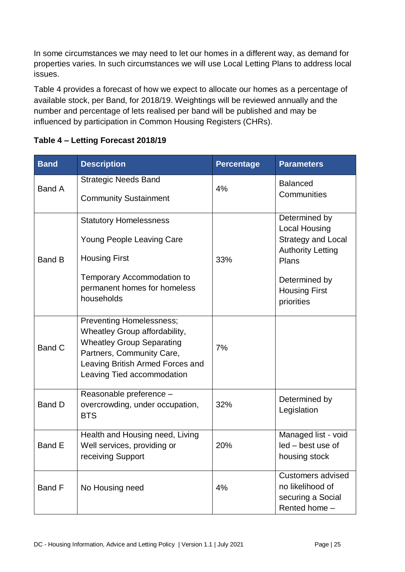In some circumstances we may need to let our homes in a different way, as demand for properties varies. In such circumstances we will use Local Letting Plans to address local issues.

Table 4 provides a forecast of how we expect to allocate our homes as a percentage of available stock, per Band, for 2018/19. Weightings will be reviewed annually and the number and percentage of lets realised per band will be published and may be influenced by participation in Common Housing Registers (CHRs).

| <b>Band</b>   | <b>Description</b>                                                                                                                                                                                  | <b>Percentage</b> | <b>Parameters</b>                                                                                                                                              |
|---------------|-----------------------------------------------------------------------------------------------------------------------------------------------------------------------------------------------------|-------------------|----------------------------------------------------------------------------------------------------------------------------------------------------------------|
| <b>Band A</b> | <b>Strategic Needs Band</b><br><b>Community Sustainment</b>                                                                                                                                         | 4%                | <b>Balanced</b><br>Communities                                                                                                                                 |
| <b>Band B</b> | <b>Statutory Homelessness</b><br>Young People Leaving Care<br><b>Housing First</b><br>Temporary Accommodation to<br>permanent homes for homeless<br>households                                      | 33%               | Determined by<br><b>Local Housing</b><br><b>Strategy and Local</b><br><b>Authority Letting</b><br>Plans<br>Determined by<br><b>Housing First</b><br>priorities |
| Band C        | <b>Preventing Homelessness;</b><br>Wheatley Group affordability,<br><b>Wheatley Group Separating</b><br>Partners, Community Care,<br>Leaving British Armed Forces and<br>Leaving Tied accommodation | 7%                |                                                                                                                                                                |
| <b>Band D</b> | Reasonable preference -<br>overcrowding, under occupation,<br><b>BTS</b>                                                                                                                            | 32%               | Determined by<br>Legislation                                                                                                                                   |
| <b>Band E</b> | Health and Housing need, Living<br>Well services, providing or<br>receiving Support                                                                                                                 | 20%               | Managed list - void<br>led - best use of<br>housing stock                                                                                                      |
| Band F        | No Housing need                                                                                                                                                                                     | 4%                | Customers advised<br>no likelihood of<br>securing a Social<br>Rented home -                                                                                    |

#### **Table 4 – Letting Forecast 2018/19**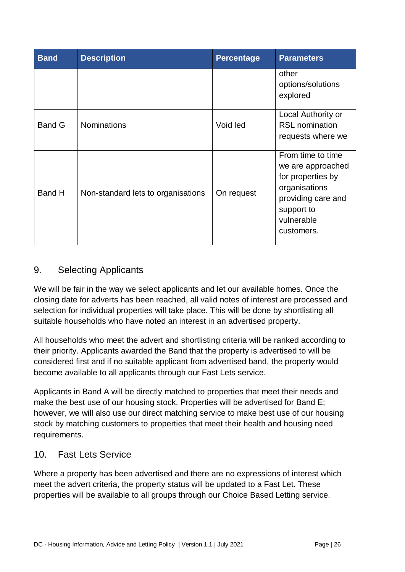| <b>Band</b>   | <b>Description</b>                 | <b>Percentage</b> | <b>Parameters</b>                                                                                                                            |
|---------------|------------------------------------|-------------------|----------------------------------------------------------------------------------------------------------------------------------------------|
|               |                                    |                   | other<br>options/solutions<br>explored                                                                                                       |
| <b>Band G</b> | <b>Nominations</b>                 | Void led          | Local Authority or<br><b>RSL</b> nomination<br>requests where we                                                                             |
| Band H        | Non-standard lets to organisations | On request        | From time to time<br>we are approached<br>for properties by<br>organisations<br>providing care and<br>support to<br>vulnerable<br>customers. |

# <span id="page-34-0"></span>9. Selecting Applicants

We will be fair in the way we select applicants and let our available homes. Once the closing date for adverts has been reached, all valid notes of interest are processed and selection for individual properties will take place. This will be done by shortlisting all suitable households who have noted an interest in an advertised property.

All households who meet the advert and shortlisting criteria will be ranked according to their priority. Applicants awarded the Band that the property is advertised to will be considered first and if no suitable applicant from advertised band, the property would become available to all applicants through our Fast Lets service.

Applicants in Band A will be directly matched to properties that meet their needs and make the best use of our housing stock. Properties will be advertised for Band E; however, we will also use our direct matching service to make best use of our housing stock by matching customers to properties that meet their health and housing need requirements.

## <span id="page-34-1"></span>10. Fast Lets Service

Where a property has been advertised and there are no expressions of interest which meet the advert criteria, the property status will be updated to a Fast Let. These properties will be available to all groups through our Choice Based Letting service.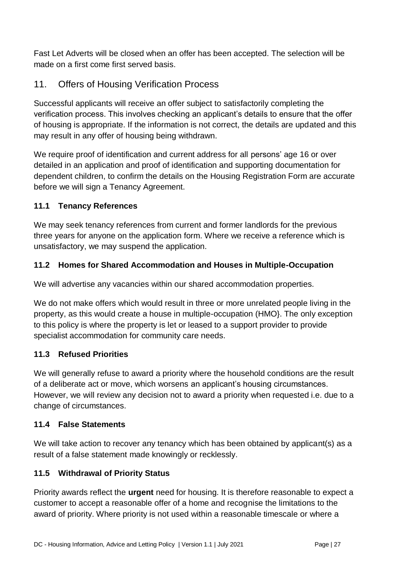Fast Let Adverts will be closed when an offer has been accepted. The selection will be made on a first come first served basis.

# <span id="page-35-0"></span>11. Offers of Housing Verification Process

Successful applicants will receive an offer subject to satisfactorily completing the verification process. This involves checking an applicant's details to ensure that the offer of housing is appropriate. If the information is not correct, the details are updated and this may result in any offer of housing being withdrawn.

We require proof of identification and current address for all persons' age 16 or over detailed in an application and proof of identification and supporting documentation for dependent children, to confirm the details on the Housing Registration Form are accurate before we will sign a Tenancy Agreement.

## <span id="page-35-1"></span>**11.1 Tenancy References**

We may seek tenancy references from current and former landlords for the previous three years for anyone on the application form. Where we receive a reference which is unsatisfactory, we may suspend the application.

## <span id="page-35-2"></span>**11.2 Homes for Shared Accommodation and Houses in Multiple-Occupation**

We will advertise any vacancies within our shared accommodation properties.

We do not make offers which would result in three or more unrelated people living in the property, as this would create a house in multiple-occupation (HMO}. The only exception to this policy is where the property is let or leased to a support provider to provide specialist accommodation for community care needs.

#### <span id="page-35-3"></span>**11.3 Refused Priorities**

We will generally refuse to award a priority where the household conditions are the result of a deliberate act or move, which worsens an applicant's housing circumstances. However, we will review any decision not to award a priority when requested i.e. due to a change of circumstances.

#### <span id="page-35-4"></span>**11.4 False Statements**

We will take action to recover any tenancy which has been obtained by applicant(s) as a result of a false statement made knowingly or recklessly.

#### <span id="page-35-5"></span>**11.5 Withdrawal of Priority Status**

Priority awards reflect the **urgent** need for housing. It is therefore reasonable to expect a customer to accept a reasonable offer of a home and recognise the limitations to the award of priority. Where priority is not used within a reasonable timescale or where a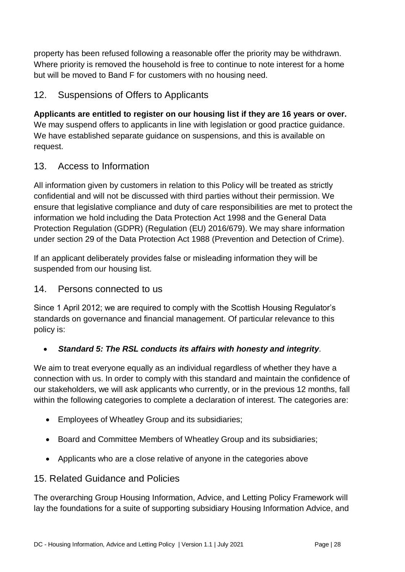property has been refused following a reasonable offer the priority may be withdrawn. Where priority is removed the household is free to continue to note interest for a home but will be moved to Band F for customers with no housing need.

## <span id="page-36-0"></span>12. Suspensions of Offers to Applicants

**Applicants are entitled to register on our housing list if they are 16 years or over.**  We may suspend offers to applicants in line with legislation or good practice guidance. We have established separate guidance on suspensions, and this is available on request.

## <span id="page-36-1"></span>13. Access to Information

All information given by customers in relation to this Policy will be treated as strictly confidential and will not be discussed with third parties without their permission. We ensure that legislative compliance and duty of care responsibilities are met to protect the information we hold including the Data Protection Act 1998 and the General Data Protection Regulation (GDPR) (Regulation (EU) 2016/679). We may share information under section 29 of the Data Protection Act 1988 (Prevention and Detection of Crime).

If an applicant deliberately provides false or misleading information they will be suspended from our housing list.

## <span id="page-36-2"></span>14. Persons connected to us

Since 1 April 2012; we are required to comply with the Scottish Housing Regulator's standards on governance and financial management. Of particular relevance to this policy is:

## *Standard 5: The RSL conducts its affairs with honesty and integrity.*

We aim to treat everyone equally as an individual regardless of whether they have a connection with us. In order to comply with this standard and maintain the confidence of our stakeholders, we will ask applicants who currently, or in the previous 12 months, fall within the following categories to complete a declaration of interest. The categories are:

- Employees of Wheatley Group and its subsidiaries;
- Board and Committee Members of Wheatley Group and its subsidiaries;
- Applicants who are a close relative of anyone in the categories above

## <span id="page-36-3"></span>15. Related Guidance and Policies

The overarching Group Housing Information, Advice, and Letting Policy Framework will lay the foundations for a suite of supporting subsidiary Housing Information Advice, and